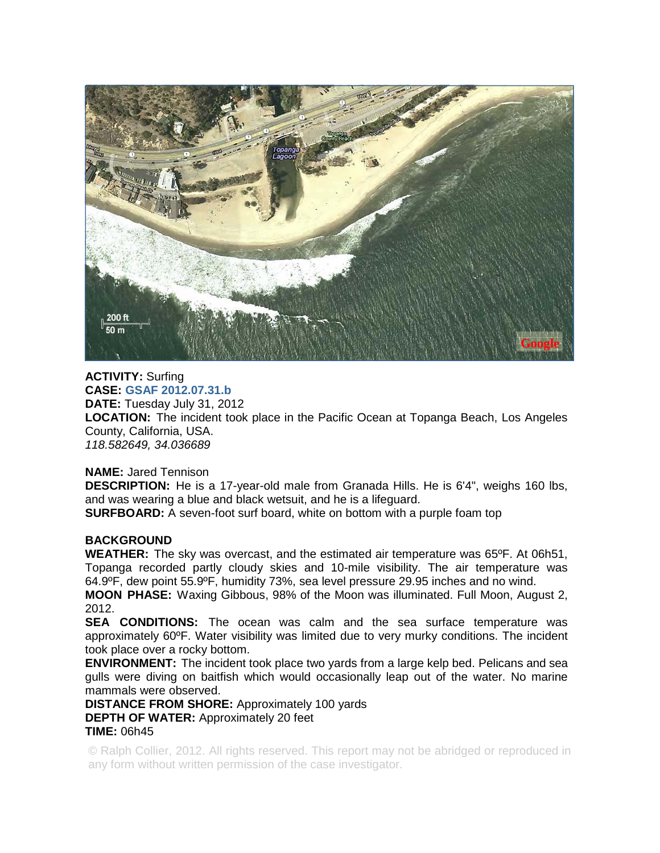

**ACTIVITY:** Surfing **CASE: GSAF 2012.07.31.b DATE:** Tuesday July 31, 2012 **LOCATION:** The incident took place in the Pacific Ocean at Topanga Beach, Los Angeles County, California, USA. *118.582649, 34.036689* 

**NAME:** Jared Tennison

**DESCRIPTION:** He is a 17-year-old male from Granada Hills. He is 6'4", weighs 160 lbs, and was wearing a blue and black wetsuit, and he is a lifeguard.

**SURFBOARD:** A seven-foot surf board, white on bottom with a purple foam top

## **BACKGROUND**

**WEATHER:** The sky was overcast, and the estimated air temperature was 65ºF. At 06h51, Topanga recorded partly cloudy skies and 10-mile visibility. The air temperature was 64.9ºF, dew point 55.9ºF, humidity 73%, sea level pressure 29.95 inches and no wind.

**MOON PHASE:** Waxing Gibbous, 98% of the Moon was illuminated. Full Moon, August 2, 2012.

**SEA CONDITIONS:** The ocean was calm and the sea surface temperature was approximately 60ºF. Water visibility was limited due to very murky conditions. The incident took place over a rocky bottom.

**ENVIRONMENT:** The incident took place two yards from a large kelp bed. Pelicans and sea gulls were diving on baitfish which would occasionally leap out of the water. No marine mammals were observed.

**DISTANCE FROM SHORE:** Approximately 100 yards **DEPTH OF WATER:** Approximately 20 feet **TIME:** 06h45

© Ralph Collier, 2012. All rights reserved. This report may not be abridged or reproduced in any form without written permission of the case investigator.